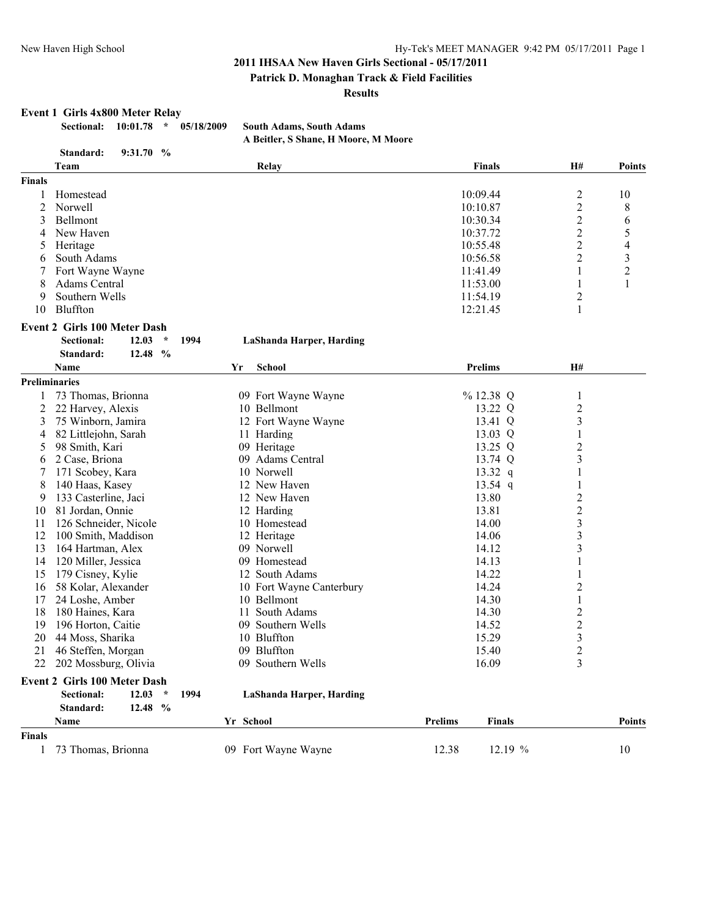#### **Patrick D. Monaghan Track & Field Facilities**

#### **Results**

#### **Event 1 Girls 4x800 Meter Relay**

**Sectional: 10:01.78 \* 05/18/2009 South Adams, South Adams**

# **A Beitler, S Shane, H Moore, M Moore**

|               | Standard:<br>9:31.70%                       |           |                          |                |                  |                         |                |
|---------------|---------------------------------------------|-----------|--------------------------|----------------|------------------|-------------------------|----------------|
|               | Team                                        |           | Relay                    |                | <b>Finals</b>    | <b>H#</b>               | <b>Points</b>  |
| <b>Finals</b> |                                             |           |                          |                |                  |                         |                |
|               | Homestead                                   |           |                          | 10:09.44       |                  | 2                       | 10             |
| 2             | Norwell                                     |           |                          | 10:10.87       |                  | $\overline{c}$          | 8              |
| 3             | Bellmont                                    |           |                          | 10:30.34       |                  | $\overline{c}$          | 6              |
| 4             | New Haven                                   |           |                          | 10:37.72       |                  | $\overline{\mathbf{c}}$ | 5              |
| 5             | Heritage                                    |           |                          | 10:55.48       |                  | $\overline{c}$          | 4              |
| 6             | South Adams                                 |           |                          | 10:56.58       |                  | $\overline{2}$          | 3              |
|               | Fort Wayne Wayne                            |           |                          | 11:41.49       |                  | 1                       | $\overline{c}$ |
| 8             | Adams Central                               |           |                          | 11:53.00       |                  | 1                       | 1              |
| 9             | Southern Wells                              |           |                          | 11:54.19       |                  | 2                       |                |
| 10            | Bluffton                                    |           |                          | 12:21.45       |                  | 1                       |                |
|               | <b>Event 2 Girls 100 Meter Dash</b>         |           |                          |                |                  |                         |                |
|               | <b>Sectional:</b><br>12.03<br>$\star$       | 1994      | LaShanda Harper, Harding |                |                  |                         |                |
|               | 12.48 %<br>Standard:<br>Name                | Yr        | <b>School</b>            | <b>Prelims</b> |                  | H#                      |                |
|               | <b>Preliminaries</b>                        |           |                          |                |                  |                         |                |
|               | 73 Thomas, Brionna                          |           | 09 Fort Wayne Wayne      |                | %12.38 Q         | $\mathbf{1}$            |                |
| 2             | 22 Harvey, Alexis                           |           | 10 Bellmont              |                | 13.22 Q          | $\overline{c}$          |                |
| 3             | 75 Winborn, Jamira                          |           | 12 Fort Wayne Wayne      |                | 13.41 Q          | 3                       |                |
| 4             | 82 Littlejohn, Sarah                        |           | 11 Harding               |                | 13.03 Q          | 1                       |                |
|               | 98 Smith, Kari                              |           | 09 Heritage              |                | 13.25 Q          |                         |                |
| 5             |                                             |           | 09 Adams Central         |                | 13.74 Q          | $\overline{c}$<br>3     |                |
| 6             | 2 Case, Briona<br>171 Scobey, Kara          |           | 10 Norwell               |                |                  | 1                       |                |
|               |                                             |           | 12 New Haven             |                | 13.32 q          |                         |                |
| 8             | 140 Haas, Kasey                             |           |                          |                | 13.54 q<br>13.80 | 1                       |                |
| 9             | 133 Casterline, Jaci                        |           | 12 New Haven             |                |                  | $\overline{\mathbf{c}}$ |                |
| 10            | 81 Jordan, Onnie                            |           | 12 Harding               |                | 13.81            | $\overline{\mathbf{c}}$ |                |
| 11            | 126 Schneider, Nicole                       |           | 10 Homestead             |                | 14.00            | $\overline{\mathbf{3}}$ |                |
| 12            | 100 Smith, Maddison                         |           | 12 Heritage              |                | 14.06            | 3                       |                |
| 13            | 164 Hartman, Alex                           |           | 09 Norwell               |                | 14.12            | $\overline{\mathbf{3}}$ |                |
| 14            | 120 Miller, Jessica                         |           | 09 Homestead             |                | 14.13            | $\mathbf{1}$            |                |
| 15            | 179 Cisney, Kylie                           |           | 12 South Adams           |                | 14.22            |                         |                |
| 16            | 58 Kolar, Alexander                         |           | 10 Fort Wayne Canterbury |                | 14.24            | $\overline{\mathbf{c}}$ |                |
| 17            | 24 Loshe, Amber                             |           | 10 Bellmont              |                | 14.30            | $\mathbf{1}$            |                |
| 18            | 180 Haines, Kara                            |           | 11 South Adams           |                | 14.30            | $\overline{c}$          |                |
| 19            | 196 Horton, Caitie                          |           | 09 Southern Wells        |                | 14.52            | $\overline{\mathbf{c}}$ |                |
| 20            | 44 Moss, Sharika                            |           | 10 Bluffton              |                | 15.29            | 3                       |                |
| 21            | 46 Steffen, Morgan                          |           | 09 Bluffton              |                | 15.40            | $\overline{2}$          |                |
|               | 22 202 Mossburg, Olivia                     |           | 09 Southern Wells        |                | 16.09            | 3                       |                |
|               | <b>Event 2 Girls 100 Meter Dash</b>         |           |                          |                |                  |                         |                |
|               | 12.03<br><b>Sectional:</b><br>$\mathcal{R}$ | 1994      | LaShanda Harper, Harding |                |                  |                         |                |
|               | Standard:<br>12.48 %                        |           |                          |                |                  |                         |                |
|               | Name                                        | Yr School |                          | Prelims        | <b>Finals</b>    |                         | Points         |
| <b>Finals</b> | 73 Thomas, Brionna                          |           |                          |                |                  |                         |                |
| $\mathbf{1}$  |                                             |           | 09 Fort Wayne Wayne      | 12.38          | 12.19 %          |                         | 10             |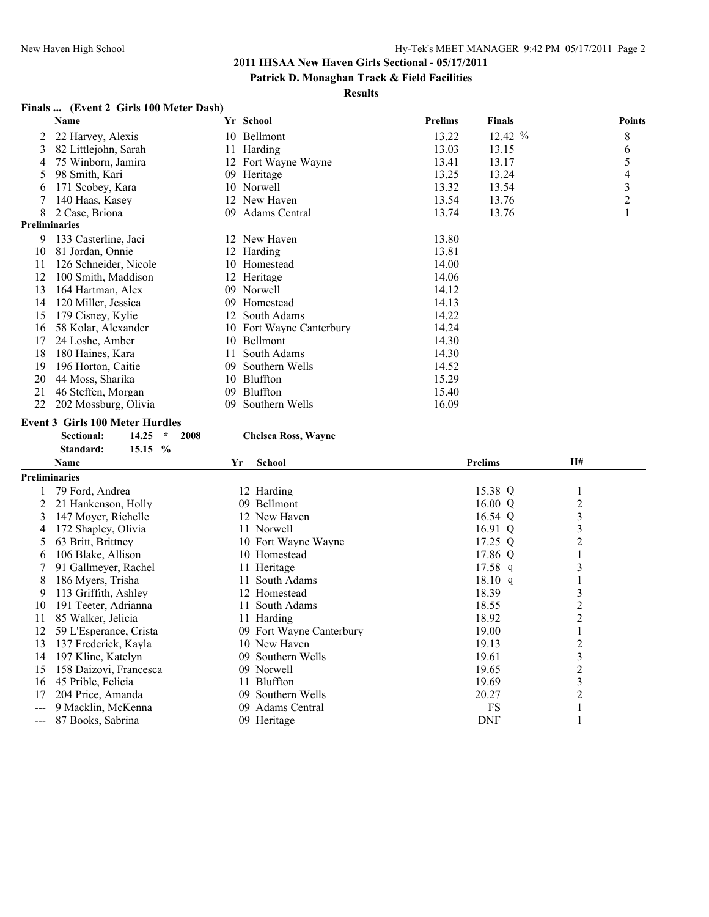**Patrick D. Monaghan Track & Field Facilities**

#### **Results**

# **Finals ... (Event 2 Girls 100 Meter Dash)**

|                      | Name                  |     | Yr School                | <b>Prelims</b> | <b>Finals</b> | <b>Points</b> |
|----------------------|-----------------------|-----|--------------------------|----------------|---------------|---------------|
| 2                    | 22 Harvey, Alexis     |     | 10 Bellmont              | 13.22          | 12.42%        | 8             |
| 3                    | 82 Littlejohn, Sarah  | 11  | Harding                  | 13.03          | 13.15         | 6             |
| 4                    | 75 Winborn, Jamira    |     | 12 Fort Wayne Wayne      | 13.41          | 13.17         | 5             |
| 5                    | 98 Smith, Kari        |     | 09 Heritage              | 13.25          | 13.24         | 4             |
| 6                    | 171 Scobey, Kara      |     | 10 Norwell               | 13.32          | 13.54         | 3             |
|                      | 140 Haas, Kasey       |     | 12 New Haven             | 13.54          | 13.76         | 2             |
| 8                    | 2 Case, Briona        | 09  | Adams Central            | 13.74          | 13.76         |               |
| <b>Preliminaries</b> |                       |     |                          |                |               |               |
| 9                    | 133 Casterline, Jaci  |     | 12 New Haven             | 13.80          |               |               |
| 10                   | 81 Jordan, Onnie      |     | 12 Harding               | 13.81          |               |               |
| 11                   | 126 Schneider, Nicole |     | 10 Homestead             | 14.00          |               |               |
| 12                   | 100 Smith, Maddison   |     | 12 Heritage              | 14.06          |               |               |
| 13                   | 164 Hartman, Alex     |     | 09 Norwell               | 14.12          |               |               |
| 14                   | 120 Miller, Jessica   | 09. | Homestead                | 14.13          |               |               |
| 15                   | 179 Cisney, Kylie     |     | 12 South Adams           | 14.22          |               |               |
| 16                   | 58 Kolar, Alexander   |     | 10 Fort Wayne Canterbury | 14.24          |               |               |
| 17                   | 24 Loshe, Amber       |     | 10 Bellmont              | 14.30          |               |               |
| 18                   | 180 Haines, Kara      | 11  | South Adams              | 14.30          |               |               |
| 19                   | 196 Horton, Caitie    | 09. | Southern Wells           | 14.52          |               |               |
| 20                   | 44 Moss, Sharika      | 10  | <b>Bluffton</b>          | 15.29          |               |               |
| 21                   | 46 Steffen, Morgan    | 09. | Bluffton                 | 15.40          |               |               |
| 22                   | 202 Mossburg, Olivia  | 09. | Southern Wells           | 16.09          |               |               |

# **Event 3 Girls 100 Meter Hurdles<br>Sectional:** 14.25  $*$  2008

#### $Chelsea Ross, Wayne$

|      | $15.15\%$<br>Standard: |     |                          |                   |                |  |
|------|------------------------|-----|--------------------------|-------------------|----------------|--|
|      | Name                   | Yr  | <b>School</b>            | <b>Prelims</b>    | <b>H#</b>      |  |
|      | <b>Preliminaries</b>   |     |                          |                   |                |  |
|      | 79 Ford, Andrea        |     | 12 Harding               | 15.38 Q           |                |  |
|      | 21 Hankenson, Holly    |     | 09 Bellmont              | $16.00 \text{ Q}$ | 2              |  |
| 3    | 147 Mover, Richelle    |     | 12 New Haven             | 16.54 Q           | 3              |  |
| 4    | 172 Shapley, Olivia    |     | 11 Norwell               | 16.91 Q           | 3              |  |
| 5    | 63 Britt, Brittney     |     | 10 Fort Wayne Wayne      | $17.25$ Q         | 2              |  |
| 6    | 106 Blake, Allison     |     | 10 Homestead             | 17.86 Q           |                |  |
|      | 91 Gallmeyer, Rachel   |     | 11 Heritage              | $17.58$ q         | 3              |  |
| 8    | 186 Myers, Trisha      |     | 11 South Adams           | $18.10 \text{ q}$ |                |  |
| 9    | 113 Griffith, Ashley   |     | 12 Homestead             | 18.39             | 3              |  |
| 10   | 191 Teeter, Adrianna   |     | 11 South Adams           | 18.55             | 2              |  |
| 11   | 85 Walker, Jelicia     |     | 11 Harding               | 18.92             | 2              |  |
| 12   | 59 L'Esperance, Crista |     | 09 Fort Wayne Canterbury | 19.00             |                |  |
| 13   | 137 Frederick, Kayla   |     | 10 New Haven             | 19.13             | 2              |  |
| 14   | 197 Kline, Katelyn     |     | 09 Southern Wells        | 19.61             | 3              |  |
| 15   | 158 Daizovi, Francesca |     | 09 Norwell               | 19.65             | $\overline{c}$ |  |
| 16   | 45 Prible, Felicia     |     | 11 Bluffton              | 19.69             | 3              |  |
| 17   | 204 Price, Amanda      | 09. | Southern Wells           | 20.27             | 2              |  |
| $--$ | 9 Macklin, McKenna     |     | 09 Adams Central         | FS                |                |  |
| ---  | 87 Books, Sabrina      |     | 09 Heritage              | <b>DNF</b>        |                |  |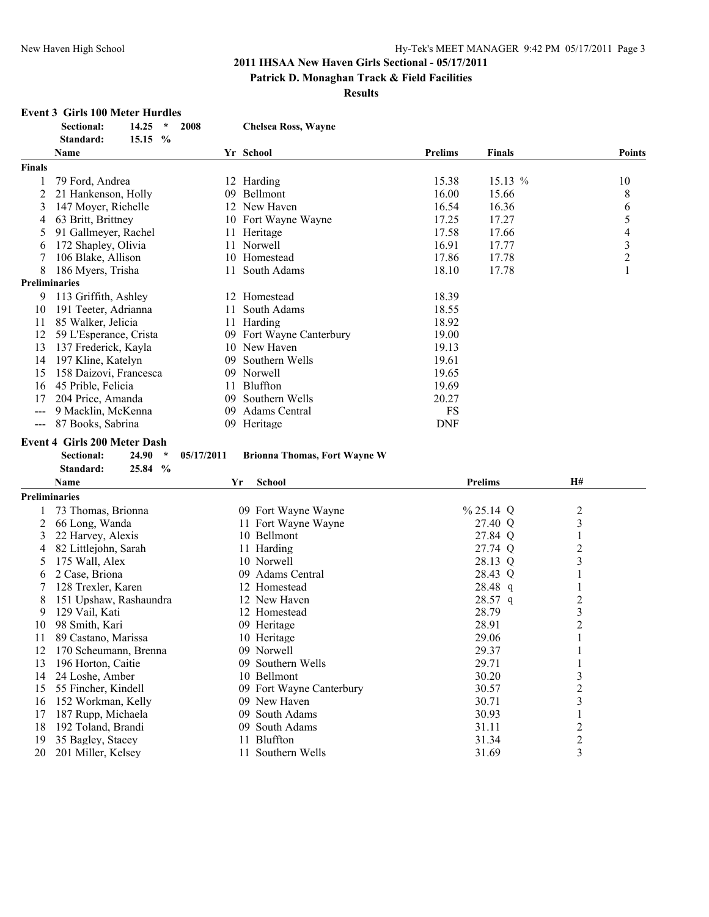#### **Patrick D. Monaghan Track & Field Facilities**

**Results**

# **Event 3 Girls 100 Meter Hurdles**

|               | $\star$<br>Sectional:<br>14.25<br>2008<br>Standard:<br>15.15 % |            | <b>Chelsea Ross, Wayne</b>          |                |                |                         |                          |
|---------------|----------------------------------------------------------------|------------|-------------------------------------|----------------|----------------|-------------------------|--------------------------|
|               | Name                                                           |            | Yr School                           | <b>Prelims</b> | Finals         |                         | <b>Points</b>            |
| <b>Finals</b> |                                                                |            |                                     |                |                |                         |                          |
|               | 79 Ford, Andrea                                                |            | 12 Harding                          | 15.38          | 15.13 %        |                         | 10                       |
| 2             | 21 Hankenson, Holly                                            |            | 09 Bellmont                         | 16.00          | 15.66          |                         | 8                        |
| 3             | 147 Moyer, Richelle                                            |            | 12 New Haven                        | 16.54          | 16.36          |                         | 6                        |
| 4             | 63 Britt, Brittney                                             |            | 10 Fort Wayne Wayne                 | 17.25          | 17.27          |                         | 5                        |
| 5             | 91 Gallmeyer, Rachel                                           | 11.        | Heritage                            | 17.58          | 17.66          |                         | $\overline{\mathcal{L}}$ |
| 6             | 172 Shapley, Olivia                                            | 11         | Norwell                             | 16.91          | 17.77          |                         |                          |
| 7             | 106 Blake, Allison                                             |            | 10 Homestead                        | 17.86          | 17.78          |                         | $\frac{3}{2}$            |
| 8             | 186 Myers, Trisha                                              | 11.        | South Adams                         | 18.10          | 17.78          |                         | 1                        |
|               | <b>Preliminaries</b>                                           |            |                                     |                |                |                         |                          |
| 9             | 113 Griffith, Ashley                                           |            | 12 Homestead                        | 18.39          |                |                         |                          |
| 10            | 191 Teeter, Adrianna                                           | 11         | South Adams                         | 18.55          |                |                         |                          |
| 11            | 85 Walker, Jelicia                                             |            | 11 Harding                          | 18.92          |                |                         |                          |
| 12            | 59 L'Esperance, Crista                                         |            | 09 Fort Wayne Canterbury            | 19.00          |                |                         |                          |
| 13            | 137 Frederick, Kayla                                           |            | 10 New Haven                        | 19.13          |                |                         |                          |
| 14            | 197 Kline, Katelyn                                             |            | 09 Southern Wells                   | 19.61          |                |                         |                          |
|               |                                                                |            |                                     |                |                |                         |                          |
| 15            | 158 Daizovi, Francesca                                         |            | 09 Norwell<br>Bluffton              | 19.65          |                |                         |                          |
| 16            | 45 Prible, Felicia                                             | 11         |                                     | 19.69          |                |                         |                          |
| 17            | 204 Price, Amanda                                              |            | 09 Southern Wells                   | 20.27          |                |                         |                          |
| $\frac{1}{2}$ | 9 Macklin, McKenna                                             |            | 09 Adams Central                    | FS             |                |                         |                          |
| $\frac{1}{2}$ | 87 Books, Sabrina                                              |            | 09 Heritage                         | <b>DNF</b>     |                |                         |                          |
|               | <b>Event 4 Girls 200 Meter Dash</b>                            |            |                                     |                |                |                         |                          |
|               | <b>Sectional:</b><br>24.90<br>$\star$                          | 05/17/2011 | <b>Brionna Thomas, Fort Wayne W</b> |                |                |                         |                          |
|               | $\frac{0}{0}$<br>Standard:<br>25.84                            |            |                                     |                |                |                         |                          |
|               | Name                                                           |            | School<br>Yr                        |                | <b>Prelims</b> | <b>H#</b>               |                          |
|               | <b>Preliminaries</b>                                           |            |                                     |                |                |                         |                          |
|               | 73 Thomas, Brionna                                             |            | 09 Fort Wayne Wayne                 |                | $\%$ 25.14 Q   | $\overline{c}$          |                          |
| 2             | 66 Long, Wanda                                                 |            | 11 Fort Wayne Wayne                 |                | 27.40 Q        | 3                       |                          |
| 3             | 22 Harvey, Alexis                                              |            | 10 Bellmont                         |                | 27.84 Q        | 1                       |                          |
| 4             | 82 Littlejohn, Sarah                                           |            | 11 Harding                          |                | 27.74 Q        | $\overline{2}$          |                          |
| 5             | 175 Wall, Alex                                                 |            | 10 Norwell                          |                | 28.13 Q        | 3                       |                          |
| 6             | 2 Case, Briona                                                 |            | 09 Adams Central                    |                | 28.43 Q        | $\mathbf{1}$            |                          |
| 7             | 128 Trexler, Karen                                             |            | 12 Homestead                        |                | 28.48 q        | 1                       |                          |
| 8             | 151 Upshaw, Rashaundra                                         |            | 12 New Haven                        |                | 28.57 q        | $\overline{\mathbf{c}}$ |                          |
| 9             | 129 Vail, Kati                                                 |            | 12 Homestead                        |                | 28.79          | $\mathfrak{Z}$          |                          |
|               | 98 Smith, Kari                                                 |            | 09 Heritage                         |                | 28.91          | $\overline{2}$          |                          |
| 10            |                                                                |            |                                     |                | 29.06          |                         |                          |
| $\mathbf{H}$  | 89 Castano, Marissa                                            |            | 10 Heritage                         |                | 29.37          |                         |                          |
| 12            | 170 Scheumann, Brenna                                          |            | 09 Norwell                          |                |                |                         |                          |
| 13            | 196 Horton, Caitie                                             |            | 09 Southern Wells                   |                | 29.71          |                         |                          |
| 14            | 24 Loshe, Amber                                                |            | 10 Bellmont                         |                | 30.20          | 3                       |                          |
| 15            | 55 Fincher, Kindell                                            |            | 09 Fort Wayne Canterbury            |                | 30.57          | 2                       |                          |
| 16            | 152 Workman, Kelly                                             |            | 09 New Haven                        |                | 30.71          | 3                       |                          |
| 17            | 187 Rupp, Michaela                                             |            | 09 South Adams                      |                | 30.93          |                         |                          |
| 18            | 192 Toland, Brandi                                             |            | 09 South Adams                      |                | 31.11          | $\overline{2}$          |                          |
| 19            | 35 Bagley, Stacey                                              |            | 11 Bluffton                         |                | 31.34          | $\overline{c}$          |                          |
| 20            | 201 Miller, Kelsey                                             |            | 11 Southern Wells                   |                | 31.69          | 3                       |                          |

20 201 Miller, Kelsey 11 Southern Wells 31.69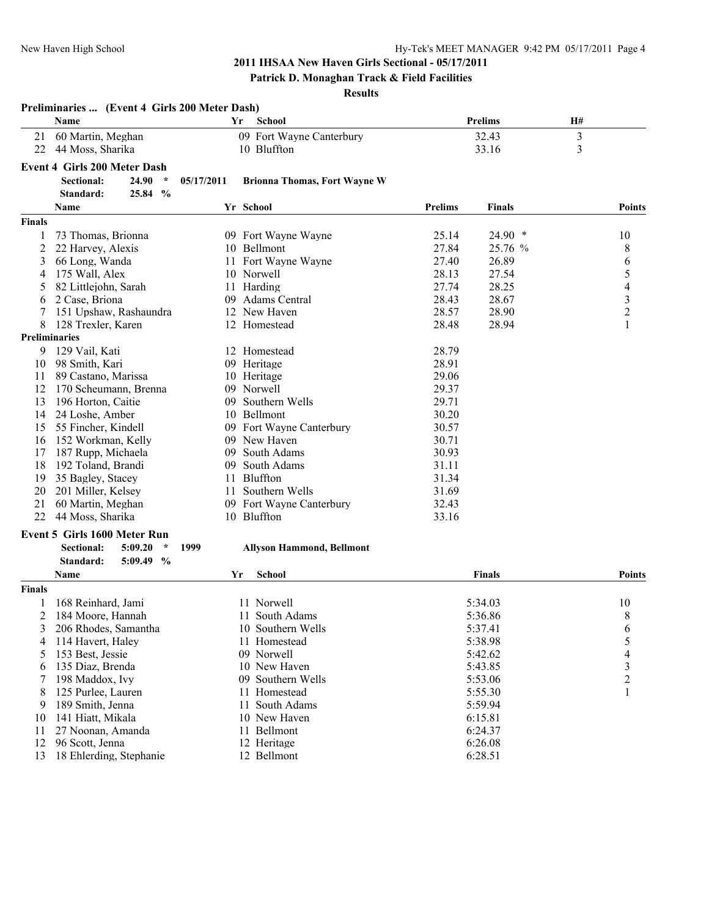# **Patrick D. Monaghan Track & Field Facilities**

#### **Results**

|               | Preliminaries  (Event 4 Girls 200 Meter Dash) |            |                                     |         |                |                |                         |
|---------------|-----------------------------------------------|------------|-------------------------------------|---------|----------------|----------------|-------------------------|
|               | Name                                          | Yr         | <b>School</b>                       |         | <b>Prelims</b> | Н#             |                         |
| 21            | 60 Martin, Meghan                             |            | 09 Fort Wayne Canterbury            |         | 32.43          | $\mathfrak{Z}$ |                         |
| 22            | 44 Moss, Sharika                              |            | 10 Bluffton                         |         | 33.16          | 3              |                         |
|               | Event 4 Girls 200 Meter Dash                  |            |                                     |         |                |                |                         |
|               | 24.90<br>$\star$<br><b>Sectional:</b>         | 05/17/2011 | <b>Brionna Thomas, Fort Wayne W</b> |         |                |                |                         |
|               | 25.84 %<br>Standard:                          |            |                                     |         |                |                |                         |
|               | Name                                          |            | Yr School                           | Prelims | <b>Finals</b>  |                | <b>Points</b>           |
| <b>Finals</b> |                                               |            |                                     |         |                |                |                         |
|               | 73 Thomas, Brionna                            |            | 09 Fort Wayne Wayne                 | 25.14   | 24.90 *        |                | 10                      |
| 2             | 22 Harvey, Alexis                             |            | 10 Bellmont                         | 27.84   | 25.76 %        |                | 8                       |
| 3             | 66 Long, Wanda                                |            | 11 Fort Wayne Wayne                 | 27.40   | 26.89          |                | 6                       |
| 4             | 175 Wall, Alex                                |            | 10 Norwell                          | 28.13   | 27.54          |                | 5                       |
| 5             | 82 Littlejohn, Sarah                          | 11         | Harding                             | 27.74   | 28.25          |                | $\overline{\mathbf{4}}$ |
| 6             | 2 Case, Briona                                |            | 09 Adams Central                    | 28.43   | 28.67          |                | $\overline{\mathbf{3}}$ |
|               | 151 Upshaw, Rashaundra                        |            | 12 New Haven                        | 28.57   | 28.90          |                | $\overline{c}$          |
| 8             | 128 Trexler, Karen                            |            | 12 Homestead                        | 28.48   | 28.94          |                | 1                       |
|               | <b>Preliminaries</b>                          |            |                                     |         |                |                |                         |
| 9             | 129 Vail, Kati                                |            | 12 Homestead                        | 28.79   |                |                |                         |
| 10            | 98 Smith, Kari                                |            | 09 Heritage                         | 28.91   |                |                |                         |
| 11            | 89 Castano, Marissa                           |            | 10 Heritage                         | 29.06   |                |                |                         |
| 12            | 170 Scheumann, Brenna                         |            | 09 Norwell                          | 29.37   |                |                |                         |
| 13            | 196 Horton, Caitie                            | 09.        | Southern Wells                      | 29.71   |                |                |                         |
| 14            | 24 Loshe, Amber                               |            | 10 Bellmont                         | 30.20   |                |                |                         |
| 15            | 55 Fincher, Kindell                           |            | 09 Fort Wayne Canterbury            | 30.57   |                |                |                         |
|               | 16 152 Workman, Kelly                         |            | 09 New Haven                        | 30.71   |                |                |                         |
| 17            | 187 Rupp, Michaela                            | 09         | South Adams                         | 30.93   |                |                |                         |
| 18            | 192 Toland, Brandi                            | 09         | South Adams                         | 31.11   |                |                |                         |
| 19            | 35 Bagley, Stacey                             | 11         | Bluffton                            | 31.34   |                |                |                         |
| 20            | 201 Miller, Kelsey                            | 11         | Southern Wells                      | 31.69   |                |                |                         |
| 21            | 60 Martin, Meghan                             |            | 09 Fort Wayne Canterbury            | 32.43   |                |                |                         |
| 22            | 44 Moss, Sharika                              |            | 10 Bluffton                         | 33.16   |                |                |                         |
|               | <b>Event 5 Girls 1600 Meter Run</b>           |            |                                     |         |                |                |                         |
|               | <b>Sectional:</b><br>5:09.20<br>$\star$       | 1999       | <b>Allyson Hammond, Bellmont</b>    |         |                |                |                         |
|               | Standard:<br>$5:09.49$ %                      |            |                                     |         |                |                |                         |
|               | Name                                          | Yr         | School                              |         | Finals         |                | <b>Points</b>           |
| <b>Finals</b> |                                               |            |                                     |         |                |                |                         |
|               | 168 Reinhard, Jami                            |            | 11 Norwell                          |         | 5:34.03        |                | 10                      |
| 2             | 184 Moore, Hannah                             |            | 11 South Adams                      |         | 5:36.86        |                | 8                       |
| 3             | 206 Rhodes, Samantha                          |            | 10 Southern Wells                   |         | 5:37.41        |                | 6                       |
| 4             | 114 Havert, Haley                             |            | 11 Homestead                        |         | 5:38.98        |                | 5                       |
| 5             | 153 Best, Jessie                              |            | 09 Norwell                          |         | 5:42.62        |                | $\overline{4}$          |
| 6             | 135 Diaz, Brenda                              |            | 10 New Haven                        |         | 5:43.85        |                | 3                       |
|               | 198 Maddox, Ivy                               |            | 09 Southern Wells                   |         | 5:53.06        |                | $\overline{c}$          |
| 8             | 125 Purlee, Lauren                            |            | 11 Homestead                        |         | 5:55.30        |                | 1                       |
| 9             | 189 Smith, Jenna                              |            | 11 South Adams                      |         | 5:59.94        |                |                         |
| 10            | 141 Hiatt, Mikala                             |            | 10 New Haven                        |         | 6:15.81        |                |                         |
| 11            | 27 Noonan, Amanda                             |            | 11 Bellmont                         |         | 6:24.37        |                |                         |
| 12            | 96 Scott, Jenna                               |            | 12 Heritage                         |         | 6:26.08        |                |                         |
| 13            | 18 Ehlerding, Stephanie                       |            | 12 Bellmont                         |         | 6:28.51        |                |                         |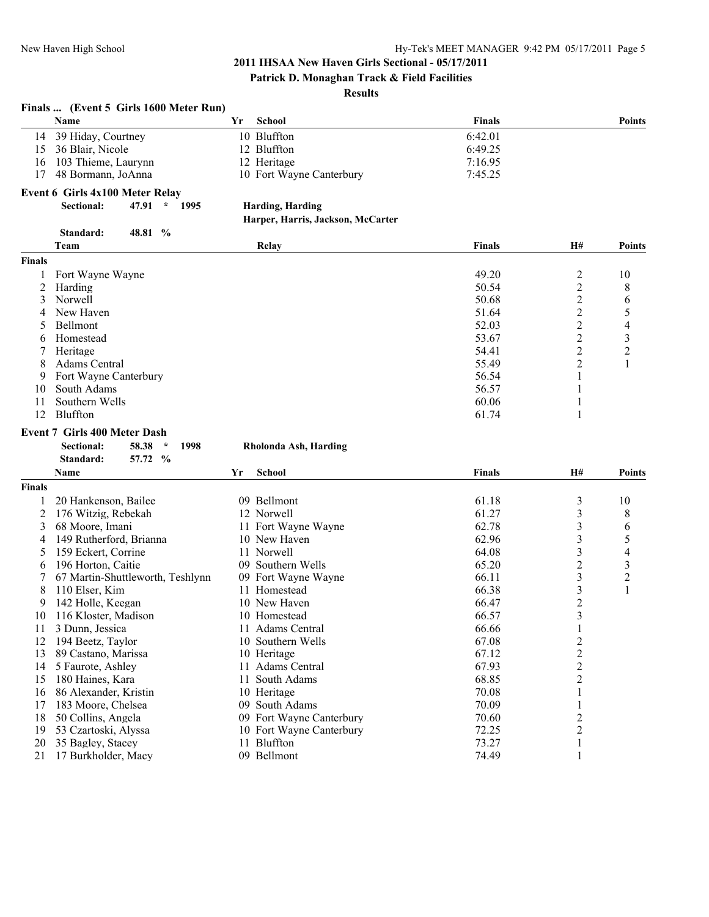**Patrick D. Monaghan Track & Field Facilities**

#### **Results**

#### **Finals ... (Event 5 Girls 1600 Meter Run) Name Yr School Finals Points** 14 39 Hiday, Courtney 10 Bluffton 6:42.01 15 36 Blair, Nicole 12 Bluffton 6:49.25 16 103 Thieme, Laurynn 12 Heritage 7:16.95 17 48 Bormann, JoAnna 10 Fort Wayne Canterbury 7:45.25 **Event 6 Girls 4x100 Meter Relay Sectional: 47.91 \* 1995 Harding, Harding Harper, Harris, Jackson, McCarter Standard: 48.81 % Team Relay Finals H# Points Finals** 1 Fort Wayne Wayne 1 Fort Wayne 2 and the U and the 19 and the 19 and 19 and 19 and 19 and 19 and 19 and 19 and 19 and 19 and 19 and 19 and 19 and 19 and 19 and 19 and 19 and 19 and 19 and 19 and 19 and 19 and 19 and 19 an 2 Harding 2 8 and 2 8 and 2 8 and 2 8 and 2 8 and 2 8 and 2 8 and 2 8 and 2 8 and 2 8 and 2 8 and 2 8 and 2 8 and 2 8 and 2 8 and 2 8 and 2 8 and 2 8 and 2 8 and 2 8 and 2 8 and 2 8 and 2 8 and 2 8 and 2 8 and 2 8 and 2 8 3 Norwell 2 6 68 2 6 4 New Haven 2 51.64 2 5 5 Bellmont 2 4 4 52.03 2 4 6 Homestead 53.67 2 3 7 Heritage 54.41 2 2 8 Adams Central 2 1 9 Fort Wayne Canterbury 56.54 1<br>0 South Adams 56.57 1 10 South Adams 56.57 1 11 Southern Wells 60.06 1 12 Bluffton 61.74 1 **Event 7 Girls 400 Meter Dash Sectional: 58.38 \* 1998 Rholonda Ash, Harding Standard: 57.72 % Name Yr School Finals H# Points Finals** 1 20 Hankenson, Bailee 61.18 3 10 2 176 Witzig, Rebekah 12 Norwell 61.27 3 8 3 68 Moore, Imani 11 Fort Wayne Wayne 62.78 3 6<br>4 149 Rutherford, Brianna 10 New Haven 62.96 3 5 4 149 Rutherford, Brianna 10 New Haven 62.96 3 5<br>5 159 Eckert, Corrine 11 Norwell 64.08 3 4 5 159 Eckert, Corrine 11 Norwell 64.08 6 196 Horton, Caitie 196 Horton, Caitie 196 Horton, Caitie 196 Southern Wells 196 Horton, Caitie 196 Southern Wells 196 Horton, 2 3 3 3 3 2 3 3 2 3 3 2 3 3 2 3 2 3 3 2 3 3 2 3 3 2 3 3 2 3 3 2 3 3 3 3 3 3 3 3 3 3 3 3 3 3 3 7 67 Martin-Shuttleworth, Teshlynn 09 Fort Wayne Wayne 66.11 66.11 3<br>
8 110 Elser, Kim 11 Homestead 66.38 3 8 110 Elser, Kim 11 Homestead 66.38 3 1 9 142 Holle, Keegan 10 New Haven 66.47 2 2<br>
10 New Haven 66.57 66.57 3 10 116 Kloster, Madison 10 Homestead 66.57 3<br>11 3 Dunn, Jessica 11 Adams Central 66.66 1 11 3 Dunn, Jessica 11 Adams Central 66.66 12 194 Beetz, Taylor 10 Southern Wells 67.08 2<br>13 89 Castano Marissa 10 Heritage 67.12 2 13 89 Castano, Marissa 10 Heritage 11 Adams Central 11 Adams Central 67.12 2 2<br>14 5 Faurote, Ashlev 11 Adams Central 67.93 2 14 5 Faurote, Ashley 11 Adams Central 67.93 2 15 180 Haines, Kara **11 South Adams** 68.85 2 16 86 Alexander, Kristin 10 Heritage 1 10 Heritage 1 10 Heritage 1 1 and 1 1 and 1 1 and 1 and 1 and 1 and 1 and 1 and 1 and 1 and 1 and 1 and 1 and 1 and 1 and 1 and 1 and 1 and 1 and 1 and 1 and 1 and 1 and 1 and 1 and 1 17 183 Moore, Chelsea **09 South Adams** 70.09 1 18 50 Collins, Angela 09 Fort Wayne Canterbury 70.60 2 19 53 Czartoski, Alyssa 10 Fort Wayne Canterbury 72.25 2 20 35 Bagley, Stacey 11 Bluffton 11 Bluffton 73.27 1

21 17 Burkholder, Macy 09 Bellmont 74.49 1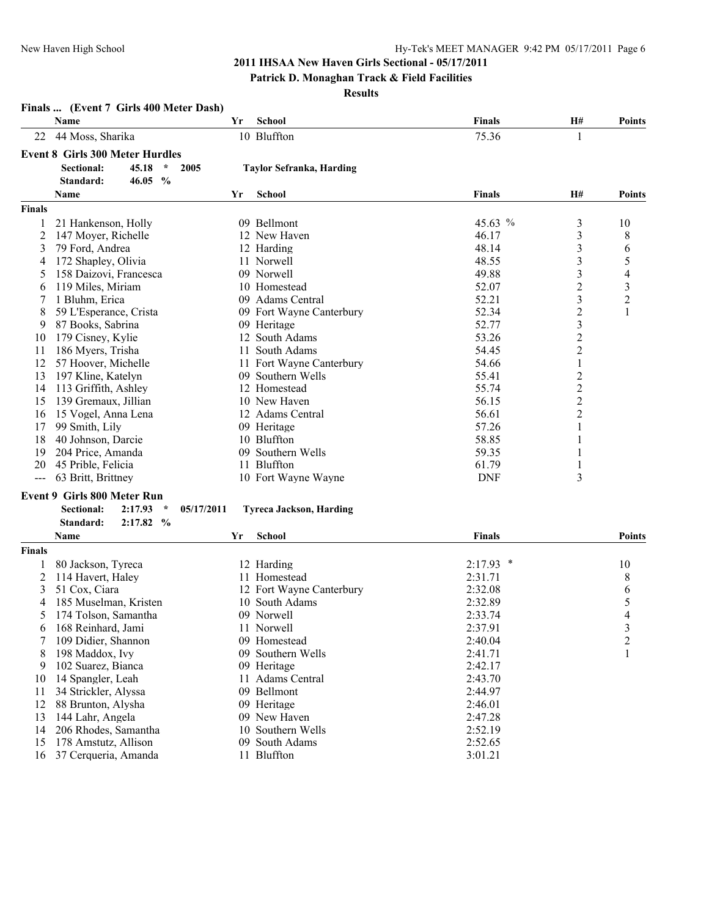**Finals ... (Event 7 Girls 400 Meter Dash)**

# **2011 IHSAA New Haven Girls Sectional - 05/17/2011**

#### **Patrick D. Monaghan Track & Field Facilities**

**Results**

|                | Name                                   | Yr         | <b>School</b>                   | <b>Finals</b> | H#               | <b>Points</b>            |
|----------------|----------------------------------------|------------|---------------------------------|---------------|------------------|--------------------------|
| 22             | 44 Moss, Sharika                       |            | 10 Bluffton                     | 75.36         | 1                |                          |
|                | <b>Event 8 Girls 300 Meter Hurdles</b> |            |                                 |               |                  |                          |
|                | $\star$<br><b>Sectional:</b><br>45.18  | 2005       | <b>Taylor Sefranka, Harding</b> |               |                  |                          |
|                | Standard:<br>46.05<br>$\frac{0}{0}$    |            |                                 |               |                  |                          |
|                | Name                                   | Yr         | <b>School</b>                   | <b>Finals</b> | Н#               | <b>Points</b>            |
| <b>Finals</b>  |                                        |            |                                 |               |                  |                          |
| 1              | 21 Hankenson, Holly                    |            | 09 Bellmont                     | 45.63 %       | 3                | 10                       |
| $\overline{c}$ | 147 Moyer, Richelle                    |            | 12 New Haven                    | 46.17         | 3                | 8                        |
| 3              | 79 Ford, Andrea                        |            | 12 Harding                      | 48.14         | 3                | 6                        |
| 4              | 172 Shapley, Olivia                    |            | 11 Norwell                      | 48.55         | 3                | 5                        |
| 5              | 158 Daizovi, Francesca                 |            | 09 Norwell                      | 49.88         | 3                | $\overline{4}$           |
| 6              | 119 Miles, Miriam                      |            | 10 Homestead                    | 52.07         | 2                | $\mathfrak{Z}$           |
| 7              | 1 Bluhm, Erica                         |            | 09 Adams Central                | 52.21         | 3                | $\overline{c}$           |
| 8              | 59 L'Esperance, Crista                 |            | 09 Fort Wayne Canterbury        | 52.34         | $\overline{c}$   | $\mathbf{1}$             |
| 9              | 87 Books, Sabrina                      |            | 09 Heritage                     | 52.77         | 3                |                          |
| 10             | 179 Cisney, Kylie                      |            | 12 South Adams                  | 53.26         | $\overline{c}$   |                          |
| 11             | 186 Myers, Trisha                      | 11         | South Adams                     | 54.45         | $\boldsymbol{2}$ |                          |
| 12             | 57 Hoover, Michelle                    |            | 11 Fort Wayne Canterbury        | 54.66         | $\mathbf{1}$     |                          |
| 13             | 197 Kline, Katelyn                     |            | 09 Southern Wells               | 55.41         | $\overline{c}$   |                          |
| 14             | 113 Griffith, Ashley                   |            | 12 Homestead                    | 55.74         | $\overline{c}$   |                          |
| 15             | 139 Gremaux, Jillian                   |            | 10 New Haven                    | 56.15         | $\overline{c}$   |                          |
| 16             | 15 Vogel, Anna Lena                    |            | 12 Adams Central                | 56.61         | $\overline{c}$   |                          |
| 17             | 99 Smith, Lily                         |            | 09 Heritage                     | 57.26         | 1                |                          |
| 18             | 40 Johnson, Darcie                     |            | 10 Bluffton                     | 58.85         | 1                |                          |
| 19             | 204 Price, Amanda                      |            | 09 Southern Wells               | 59.35         |                  |                          |
| 20             | 45 Prible, Felicia                     |            | 11 Bluffton                     | 61.79         | 1                |                          |
| ---            | 63 Britt, Brittney                     |            | 10 Fort Wayne Wayne             | <b>DNF</b>    | 3                |                          |
|                | Event 9 Girls 800 Meter Run            |            |                                 |               |                  |                          |
|                | 2:17.93<br>$\star$                     |            |                                 |               |                  |                          |
|                | Sectional:<br>Standard:<br>2:17.82%    | 05/17/2011 | <b>Tyreca Jackson, Harding</b>  |               |                  |                          |
|                | Name                                   | Yr         | <b>School</b>                   | <b>Finals</b> |                  | <b>Points</b>            |
| <b>Finals</b>  |                                        |            |                                 |               |                  |                          |
|                |                                        |            |                                 |               |                  |                          |
| 1              | 80 Jackson, Tyreca                     |            | 12 Harding                      | $2:17.93$ *   |                  | 10                       |
| 2              | 114 Havert, Haley                      |            | 11 Homestead                    | 2:31.71       |                  | 8                        |
| 3              | 51 Cox, Ciara                          |            | 12 Fort Wayne Canterbury        | 2:32.08       |                  | 6                        |
| 4              | 185 Muselman, Kristen                  |            | 10 South Adams                  | 2:32.89       |                  | 5                        |
| 5              | 174 Tolson, Samantha                   |            | 09 Norwell                      | 2:33.74       |                  | $\overline{\mathcal{L}}$ |
| 6              | 168 Reinhard, Jami                     |            | 11 Norwell                      | 2:37.91       |                  | 3                        |
| 7              | 109 Didier, Shannon                    |            | 09 Homestead                    | 2:40.04       |                  | $\overline{\mathbf{c}}$  |
| 8              | 198 Maddox, Ivy                        |            | 09 Southern Wells               | 2:41.71       |                  | 1                        |
| 9              | 102 Suarez, Bianca                     |            | 09 Heritage                     | 2:42.17       |                  |                          |
| 10             | 14 Spangler, Leah                      |            | 11 Adams Central                | 2:43.70       |                  |                          |
| 11             | 34 Strickler, Alyssa                   |            | 09 Bellmont                     | 2:44.97       |                  |                          |
| 12             | 88 Brunton, Alysha                     |            | 09 Heritage                     | 2:46.01       |                  |                          |
| 13             | 144 Lahr, Angela                       |            | 09 New Haven                    | 2:47.28       |                  |                          |
| 14             | 206 Rhodes, Samantha                   |            | 10 Southern Wells               | 2:52.19       |                  |                          |
| 15             | 178 Amstutz, Allison                   |            | 09 South Adams                  | 2:52.65       |                  |                          |
| 16             | 37 Cerqueria, Amanda                   |            | 11 Bluffton                     | 3:01.21       |                  |                          |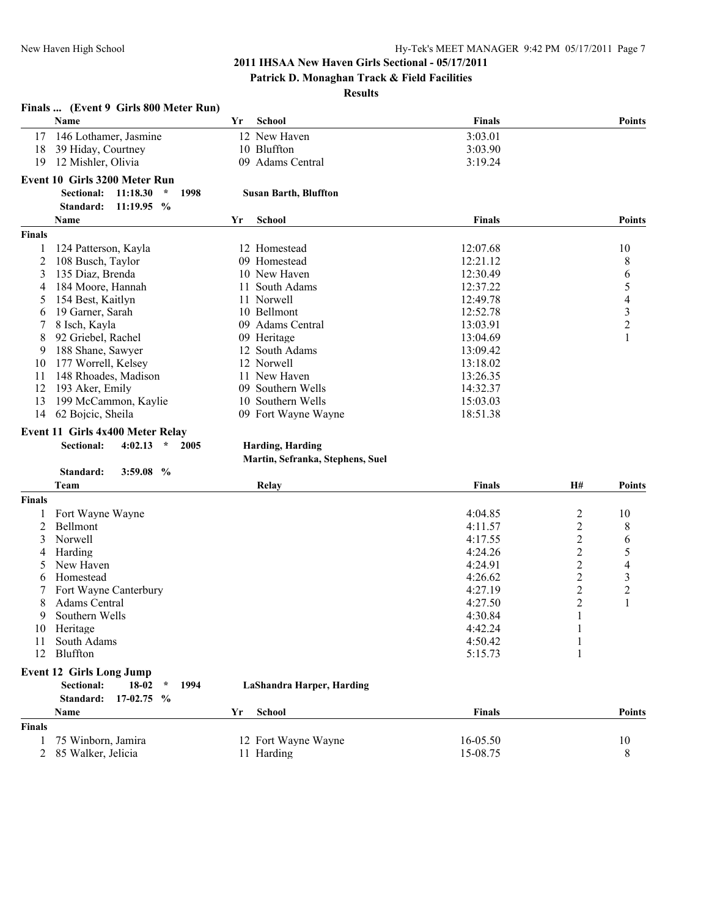#### **Patrick D. Monaghan Track & Field Facilities**

#### **Results**

|                | Finals  (Event 9 Girls 800 Meter Run)            |     |                                  |               |                         |                          |
|----------------|--------------------------------------------------|-----|----------------------------------|---------------|-------------------------|--------------------------|
|                | Name                                             | Yr  | <b>School</b>                    | Finals        |                         | <b>Points</b>            |
| 17             | 146 Lothamer, Jasmine                            |     | 12 New Haven                     | 3:03.01       |                         |                          |
| 18             | 39 Hiday, Courtney                               |     | 10 Bluffton                      | 3:03.90       |                         |                          |
| 19             | 12 Mishler, Olivia                               |     | 09 Adams Central                 | 3:19.24       |                         |                          |
|                |                                                  |     |                                  |               |                         |                          |
|                | <b>Event 10 Girls 3200 Meter Run</b>             |     |                                  |               |                         |                          |
|                | <b>Sectional:</b><br>11:18.30<br>$\star$<br>1998 |     | <b>Susan Barth, Bluffton</b>     |               |                         |                          |
|                | Standard:<br>11:19.95 %                          |     |                                  |               |                         |                          |
|                | Name                                             | Yr  | <b>School</b>                    | Finals        |                         | <b>Points</b>            |
| <b>Finals</b>  |                                                  |     |                                  |               |                         |                          |
|                | 124 Patterson, Kayla                             |     | 12 Homestead                     | 12:07.68      |                         | 10                       |
| 2              | 108 Busch, Taylor                                |     | 09 Homestead                     | 12:21.12      |                         | 8                        |
| 3              | 135 Diaz, Brenda                                 |     | 10 New Haven                     | 12:30.49      |                         | 6                        |
| 4              | 184 Moore, Hannah                                | 11. | South Adams                      | 12:37.22      |                         | 5                        |
| 5              | 154 Best, Kaitlyn                                |     | 11 Norwell                       | 12:49.78      |                         | $\overline{\mathcal{A}}$ |
| 6              | 19 Garner, Sarah                                 |     | 10 Bellmont                      | 12:52.78      |                         | $\frac{3}{2}$            |
| 7              | 8 Isch, Kayla                                    |     | 09 Adams Central                 | 13:03.91      |                         |                          |
| 8              | 92 Griebel, Rachel                               |     | 09 Heritage                      | 13:04.69      |                         | $\mathbf{1}$             |
| 9              | 188 Shane, Sawyer                                |     | 12 South Adams                   | 13:09.42      |                         |                          |
| 10             | 177 Worrell, Kelsey                              |     | 12 Norwell                       | 13:18.02      |                         |                          |
| 11             | 148 Rhoades, Madison                             |     | 11 New Haven                     | 13:26.35      |                         |                          |
| 12             | 193 Aker, Emily                                  |     | 09 Southern Wells                | 14:32.37      |                         |                          |
| 13             | 199 McCammon, Kaylie                             |     | 10 Southern Wells                | 15:03.03      |                         |                          |
| 14             | 62 Bojcic, Sheila                                |     | 09 Fort Wayne Wayne              | 18:51.38      |                         |                          |
|                |                                                  |     |                                  |               |                         |                          |
|                | Event 11 Girls 4x400 Meter Relay                 |     |                                  |               |                         |                          |
|                | <b>Sectional:</b><br>4:02.13<br>$\star$<br>2005  |     | Harding, Harding                 |               |                         |                          |
|                |                                                  |     | Martin, Sefranka, Stephens, Suel |               |                         |                          |
|                | Standard:<br>3:59.08%                            |     |                                  |               |                         |                          |
|                | Team                                             |     | Relay                            | <b>Finals</b> | H#                      | <b>Points</b>            |
| <b>Finals</b>  |                                                  |     |                                  |               |                         |                          |
|                | Fort Wayne Wayne                                 |     |                                  | 4:04.85       | $\overline{c}$          | 10                       |
| 2              | Bellmont                                         |     |                                  | 4:11.57       | $\overline{c}$          | 8                        |
| 3              | Norwell                                          |     |                                  | 4:17.55       | $\overline{\mathbf{c}}$ | 6                        |
| 4              | Harding                                          |     |                                  | 4:24.26       | $\overline{c}$          | 5                        |
| 5              | New Haven                                        |     |                                  | 4:24.91       | $\overline{c}$          | $\overline{\mathcal{L}}$ |
| 6              | Homestead                                        |     |                                  | 4:26.62       | $\overline{\mathbf{c}}$ | 3                        |
|                | Fort Wayne Canterbury                            |     |                                  | 4:27.19       | $\overline{\mathbf{c}}$ | $\overline{\mathbf{c}}$  |
| 8              | Adams Central                                    |     |                                  | 4:27.50       | $\overline{c}$          | 1                        |
| 9              | Southern Wells                                   |     |                                  | 4:30.84       | 1                       |                          |
|                | 10 Heritage                                      |     |                                  | 4:42.24       | 1                       |                          |
| 11             | South Adams                                      |     |                                  | 4:50.42       | 1                       |                          |
| 12             | Bluffton                                         |     |                                  | 5:15.73       | 1                       |                          |
|                |                                                  |     |                                  |               |                         |                          |
|                | <b>Event 12 Girls Long Jump</b>                  |     |                                  |               |                         |                          |
|                | <b>Sectional:</b><br>18-02<br>$\star$<br>1994    |     | LaShandra Harper, Harding        |               |                         |                          |
|                | Standard:<br>17-02.75<br>$\frac{6}{9}$           |     |                                  |               |                         |                          |
|                | Name                                             | Yr  | <b>School</b>                    | <b>Finals</b> |                         | <b>Points</b>            |
| <b>Finals</b>  |                                                  |     |                                  |               |                         |                          |
| 1              | 75 Winborn, Jamira                               |     | 12 Fort Wayne Wayne              | 16-05.50      |                         | 10                       |
| $\overline{c}$ | 85 Walker, Jelicia                               |     | 11 Harding                       | 15-08.75      |                         | 8                        |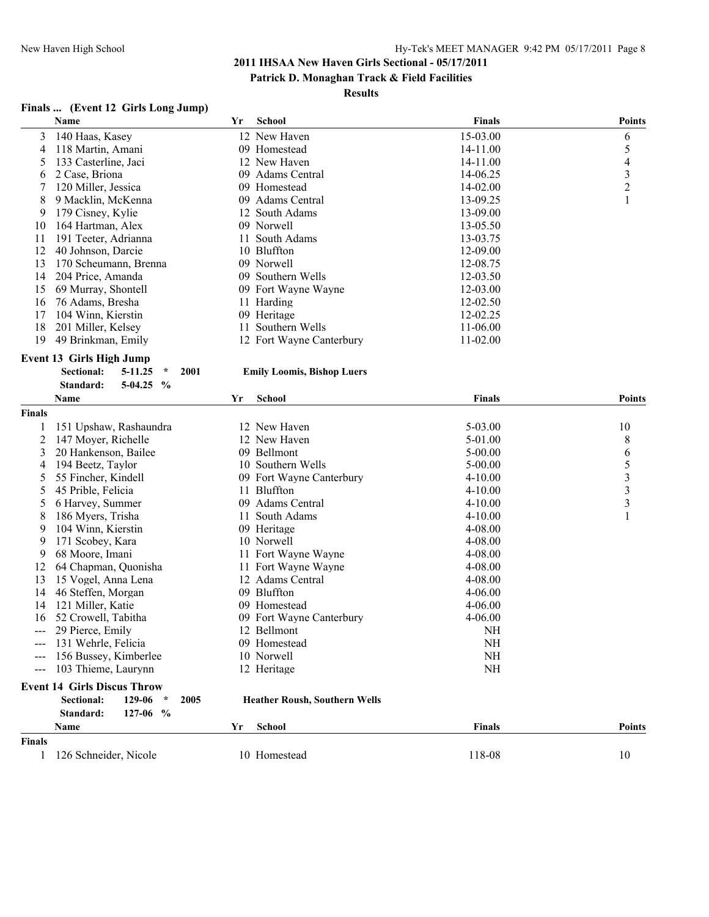#### **Patrick D. Monaghan Track & Field Facilities**

#### **Results**

# **Finals ... (Event 12 Girls Long Jump)**

|                | Name                                    | Yr   | School                               | <b>Finals</b> | <b>Points</b>           |
|----------------|-----------------------------------------|------|--------------------------------------|---------------|-------------------------|
| 3              | 140 Haas, Kasey                         |      | 12 New Haven                         | 15-03.00      | 6                       |
| 4              | 118 Martin, Amani                       |      | 09 Homestead                         | 14-11.00      | 5                       |
| 5              | 133 Casterline, Jaci                    |      | 12 New Haven                         | 14-11.00      | $\overline{4}$          |
| 6              | 2 Case, Briona                          |      | 09 Adams Central                     | 14-06.25      | $\overline{\mathbf{3}}$ |
| 7              | 120 Miller, Jessica                     |      | 09 Homestead                         | 14-02.00      | $\overline{2}$          |
| 8              | 9 Macklin, McKenna                      |      | 09 Adams Central                     | 13-09.25      | 1                       |
| 9              | 179 Cisney, Kylie                       |      | 12 South Adams                       | 13-09.00      |                         |
| 10             | 164 Hartman, Alex                       |      | 09 Norwell                           | 13-05.50      |                         |
| 11             | 191 Teeter, Adrianna                    |      | 11 South Adams                       | 13-03.75      |                         |
| 12             | 40 Johnson, Darcie                      |      | 10 Bluffton                          | 12-09.00      |                         |
| 13             | 170 Scheumann, Brenna                   |      | 09 Norwell                           | 12-08.75      |                         |
| 14             | 204 Price, Amanda                       |      | 09 Southern Wells                    | 12-03.50      |                         |
| 15             | 69 Murray, Shontell                     |      | 09 Fort Wayne Wayne                  | 12-03.00      |                         |
| 16             | 76 Adams, Bresha                        |      | 11 Harding                           | 12-02.50      |                         |
| 17             | 104 Winn, Kierstin                      |      | 09 Heritage                          | 12-02.25      |                         |
| 18             | 201 Miller, Kelsey                      |      | 11 Southern Wells                    | 11-06.00      |                         |
| 19             |                                         |      |                                      | 11-02.00      |                         |
|                | 49 Brinkman, Emily                      |      | 12 Fort Wayne Canterbury             |               |                         |
|                | <b>Event 13 Girls High Jump</b>         |      |                                      |               |                         |
|                | <b>Sectional:</b><br>5-11.25<br>$\star$ | 2001 | <b>Emily Loomis, Bishop Luers</b>    |               |                         |
|                | Standard:<br>$5-04.25$<br>$\frac{0}{0}$ |      |                                      |               |                         |
|                | Name                                    | Yr   | School                               | <b>Finals</b> | <b>Points</b>           |
| <b>Finals</b>  |                                         |      |                                      |               |                         |
| 1              | 151 Upshaw, Rashaundra                  |      | 12 New Haven                         | 5-03.00       | 10                      |
| $\overline{c}$ | 147 Moyer, Richelle                     |      | 12 New Haven                         | 5-01.00       | 8                       |
| 3              | 20 Hankenson, Bailee                    |      | 09 Bellmont                          | $5 - 00.00$   | 6                       |
| 4              | 194 Beetz, Taylor                       |      | 10 Southern Wells                    | $5 - 00.00$   |                         |
| 5              | 55 Fincher, Kindell                     |      | 09 Fort Wayne Canterbury             | $4 - 10.00$   | $\frac{5}{3}$           |
| 5              | 45 Prible, Felicia                      |      | 11 Bluffton                          | $4 - 10.00$   | $\overline{3}$          |
| 5              | 6 Harvey, Summer                        |      | 09 Adams Central                     | $4 - 10.00$   | $\overline{\mathbf{3}}$ |
| 8              | 186 Myers, Trisha                       |      | 11 South Adams                       | $4 - 10.00$   | 1                       |
| 9              | 104 Winn, Kierstin                      |      | 09 Heritage                          | 4-08.00       |                         |
| 9              | 171 Scobey, Kara                        |      | 10 Norwell                           | 4-08.00       |                         |
| 9              | 68 Moore, Imani                         |      | 11 Fort Wayne Wayne                  | $4 - 08.00$   |                         |
| 12             | 64 Chapman, Quonisha                    |      | 11 Fort Wayne Wayne                  | 4-08.00       |                         |
| 13             | 15 Vogel, Anna Lena                     |      | 12 Adams Central                     | 4-08.00       |                         |
| 14             | 46 Steffen, Morgan                      |      | 09 Bluffton                          | $4 - 06.00$   |                         |
| 14             | 121 Miller, Katie                       |      | 09 Homestead                         | $4 - 06.00$   |                         |
| 16             | 52 Crowell, Tabitha                     |      | 09 Fort Wayne Canterbury             | 4-06.00       |                         |
|                | 29 Pierce, Emily                        |      | 12 Bellmont                          | NH            |                         |
| ---            | 131 Wehrle, Felicia                     |      | 09 Homestead                         | <b>NH</b>     |                         |
|                | 156 Bussey, Kimberlee                   |      |                                      | <b>NH</b>     |                         |
|                |                                         |      | 10 Norwell                           |               |                         |
|                | 103 Thieme, Laurynn                     |      | 12 Heritage                          | NH            |                         |
|                | <b>Event 14 Girls Discus Throw</b>      |      |                                      |               |                         |
|                | Sectional:<br>129-06<br>$\star$         | 2005 | <b>Heather Roush, Southern Wells</b> |               |                         |
|                | Standard:<br>$127-06$ %                 |      |                                      |               |                         |
|                | Name                                    | Yr   | School                               | <b>Finals</b> | <b>Points</b>           |
| <b>Finals</b>  |                                         |      |                                      |               |                         |
| 1              | 126 Schneider, Nicole                   |      | 10 Homestead                         | 118-08        | 10                      |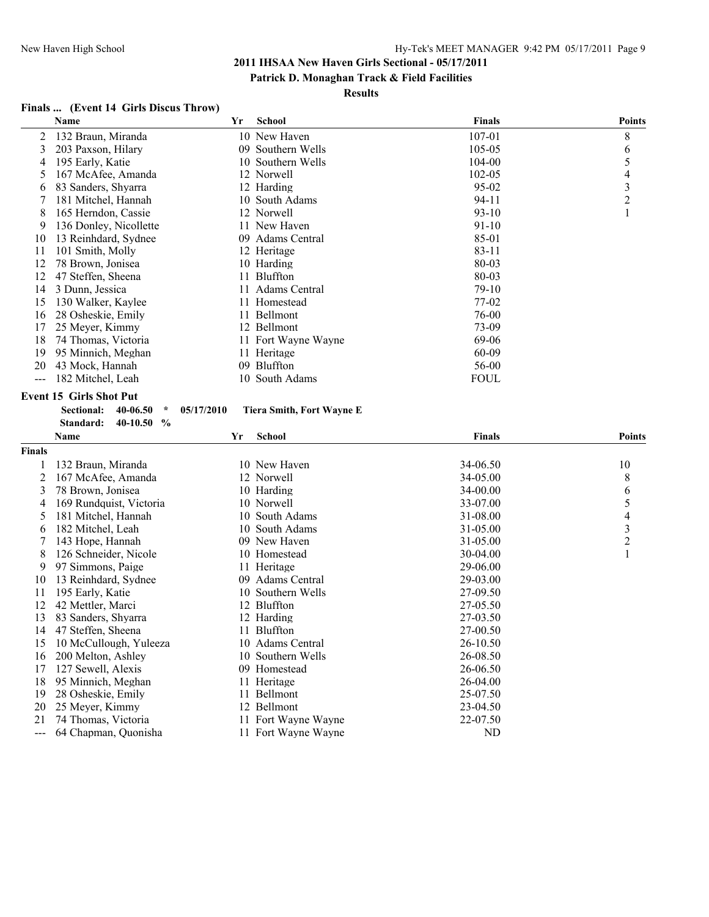#### **Patrick D. Monaghan Track & Field Facilities**

#### **Results**

# **Finals ... (Event 14 Girls Discus Throw)**

| Name                   | Yr | <b>School</b> | Finals                                                                                                                                                                                                                                                                                                                                         | <b>Points</b> |
|------------------------|----|---------------|------------------------------------------------------------------------------------------------------------------------------------------------------------------------------------------------------------------------------------------------------------------------------------------------------------------------------------------------|---------------|
| 132 Braun, Miranda     |    |               | 107-01                                                                                                                                                                                                                                                                                                                                         | 8             |
| 203 Paxson, Hilary     |    |               | 105-05                                                                                                                                                                                                                                                                                                                                         | 6             |
| 195 Early, Katie       |    |               | 104-00                                                                                                                                                                                                                                                                                                                                         | 5             |
| 167 McAfee, Amanda     |    |               | $102 - 05$                                                                                                                                                                                                                                                                                                                                     | 4             |
| 83 Sanders, Shyarra    |    |               | $95 - 02$                                                                                                                                                                                                                                                                                                                                      | 3             |
| 181 Mitchel, Hannah    |    |               | 94-11                                                                                                                                                                                                                                                                                                                                          | 2             |
| 165 Herndon, Cassie    |    |               | $93 - 10$                                                                                                                                                                                                                                                                                                                                      |               |
| 136 Donley, Nicollette |    |               | 91-10                                                                                                                                                                                                                                                                                                                                          |               |
| 13 Reinhdard, Sydnee   |    |               | 85-01                                                                                                                                                                                                                                                                                                                                          |               |
| 101 Smith, Molly       |    |               | 83-11                                                                                                                                                                                                                                                                                                                                          |               |
| 78 Brown, Jonisea      |    |               | 80-03                                                                                                                                                                                                                                                                                                                                          |               |
| 47 Steffen, Sheena     |    |               | 80-03                                                                                                                                                                                                                                                                                                                                          |               |
| 3 Dunn, Jessica        |    |               | $79-10$                                                                                                                                                                                                                                                                                                                                        |               |
| 130 Walker, Kaylee     |    |               | 77-02                                                                                                                                                                                                                                                                                                                                          |               |
| 28 Osheskie, Emily     |    |               | 76-00                                                                                                                                                                                                                                                                                                                                          |               |
| 25 Meyer, Kimmy        |    |               | 73-09                                                                                                                                                                                                                                                                                                                                          |               |
| 74 Thomas, Victoria    |    |               | 69-06                                                                                                                                                                                                                                                                                                                                          |               |
| 95 Minnich, Meghan     |    |               | 60-09                                                                                                                                                                                                                                                                                                                                          |               |
| 43 Mock, Hannah        |    |               | 56-00                                                                                                                                                                                                                                                                                                                                          |               |
| 182 Mitchel, Leah      |    |               | FOUL                                                                                                                                                                                                                                                                                                                                           |               |
|                        |    |               | 10 New Haven<br>09 Southern Wells<br>10 Southern Wells<br>12 Norwell<br>12 Harding<br>10 South Adams<br>12 Norwell<br>11 New Haven<br>09 Adams Central<br>12 Heritage<br>10 Harding<br>11 Bluffton<br>11 Adams Central<br>11 Homestead<br>11 Bellmont<br>12 Bellmont<br>11 Fort Wayne Wayne<br>11 Heritage<br>09 Bluffton<br>South Adams<br>10 |               |

# **Event 15 Girls Shot Put**

| Sectional: | 40-06.50 | ÷             | 05/17/2010 |
|------------|----------|---------------|------------|
| Standard:  | 40-10.50 | $\frac{6}{6}$ |            |

#### **Sectional: 40-06.50 \* 05/17/2010 Tiera Smith, Fort Wayne E**

|               | Name                    | Yr | <b>School</b>       | <b>Finals</b> | <b>Points</b> |
|---------------|-------------------------|----|---------------------|---------------|---------------|
| <b>Finals</b> |                         |    |                     |               |               |
|               | 132 Braun, Miranda      |    | 10 New Haven        | 34-06.50      | 10            |
| 2             | 167 McAfee, Amanda      |    | 12 Norwell          | 34-05.00      | 8             |
| 3             | 78 Brown, Jonisea       |    | 10 Harding          | 34-00.00      | 6             |
| 4             | 169 Rundquist, Victoria |    | 10 Norwell          | 33-07.00      | 5             |
| 5             | 181 Mitchel, Hannah     |    | 10 South Adams      | 31-08.00      | 4             |
| 6             | 182 Mitchel, Leah       |    | 10 South Adams      | $31 - 05.00$  | 3             |
| 7             | 143 Hope, Hannah        |    | 09 New Haven        | 31-05.00      | 2             |
| 8             | 126 Schneider, Nicole   |    | 10 Homestead        | $30-04.00$    |               |
| 9             | 97 Simmons, Paige       |    | 11 Heritage         | 29-06.00      |               |
| 10            | 13 Reinhdard, Sydnee    |    | 09 Adams Central    | 29-03.00      |               |
| 11            | 195 Early, Katie        |    | 10 Southern Wells   | 27-09.50      |               |
| 12            | 42 Mettler, Marci       |    | 12 Bluffton         | 27-05.50      |               |
| 13            | 83 Sanders, Shyarra     |    | 12 Harding          | 27-03.50      |               |
| 14            | 47 Steffen, Sheena      |    | 11 Bluffton         | 27-00.50      |               |
| 15            | 10 McCullough, Yuleeza  |    | 10 Adams Central    | 26-10.50      |               |
| 16            | 200 Melton, Ashley      |    | 10 Southern Wells   | 26-08.50      |               |
| 17            | 127 Sewell, Alexis      |    | 09 Homestead        | 26-06.50      |               |
| 18            | 95 Minnich, Meghan      |    | 11 Heritage         | 26-04.00      |               |
| 19            | 28 Osheskie, Emily      |    | 11 Bellmont         | 25-07.50      |               |
| 20            | 25 Meyer, Kimmy         |    | 12 Bellmont         | 23-04.50      |               |
| 21            | 74 Thomas, Victoria     |    | 11 Fort Wayne Wayne | 22-07.50      |               |
| ---           | 64 Chapman, Quonisha    |    | 11 Fort Wayne Wayne | ND            |               |